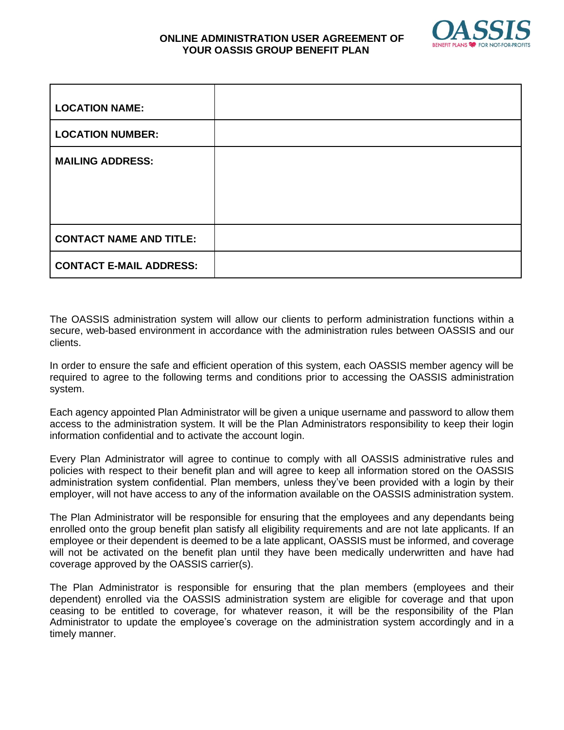

## **ONLINE ADMINISTRATION USER AGREEMENT OF YOUR OASSIS GROUP BENEFIT PLAN**

| <b>LOCATION NAME:</b>          |  |
|--------------------------------|--|
| <b>LOCATION NUMBER:</b>        |  |
| <b>MAILING ADDRESS:</b>        |  |
| <b>CONTACT NAME AND TITLE:</b> |  |
| <b>CONTACT E-MAIL ADDRESS:</b> |  |

The OASSIS administration system will allow our clients to perform administration functions within a secure, web-based environment in accordance with the administration rules between OASSIS and our clients.

In order to ensure the safe and efficient operation of this system, each OASSIS member agency will be required to agree to the following terms and conditions prior to accessing the OASSIS administration system.

Each agency appointed Plan Administrator will be given a unique username and password to allow them access to the administration system. It will be the Plan Administrators responsibility to keep their login information confidential and to activate the account login.

Every Plan Administrator will agree to continue to comply with all OASSIS administrative rules and policies with respect to their benefit plan and will agree to keep all information stored on the OASSIS administration system confidential. Plan members, unless they've been provided with a login by their employer, will not have access to any of the information available on the OASSIS administration system.

The Plan Administrator will be responsible for ensuring that the employees and any dependants being enrolled onto the group benefit plan satisfy all eligibility requirements and are not late applicants. If an employee or their dependent is deemed to be a late applicant, OASSIS must be informed, and coverage will not be activated on the benefit plan until they have been medically underwritten and have had coverage approved by the OASSIS carrier(s).

The Plan Administrator is responsible for ensuring that the plan members (employees and their dependent) enrolled via the OASSIS administration system are eligible for coverage and that upon ceasing to be entitled to coverage, for whatever reason, it will be the responsibility of the Plan Administrator to update the employee's coverage on the administration system accordingly and in a timely manner.